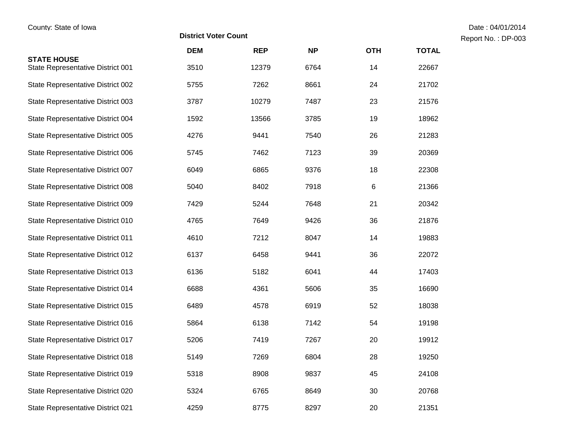Report No.: DP-003

|                                                         | <b>DEM</b> | <b>REP</b> | <b>NP</b> | <b>OTH</b> | <b>TOTAL</b> |
|---------------------------------------------------------|------------|------------|-----------|------------|--------------|
| <b>STATE HOUSE</b><br>State Representative District 001 | 3510       | 12379      | 6764      | 14         | 22667        |
| State Representative District 002                       | 5755       | 7262       | 8661      | 24         | 21702        |
| State Representative District 003                       | 3787       | 10279      | 7487      | 23         | 21576        |
| State Representative District 004                       | 1592       | 13566      | 3785      | 19         | 18962        |
| State Representative District 005                       | 4276       | 9441       | 7540      | 26         | 21283        |
| State Representative District 006                       | 5745       | 7462       | 7123      | 39         | 20369        |
| State Representative District 007                       | 6049       | 6865       | 9376      | 18         | 22308        |
| State Representative District 008                       | 5040       | 8402       | 7918      | $\,6\,$    | 21366        |
| State Representative District 009                       | 7429       | 5244       | 7648      | 21         | 20342        |
| State Representative District 010                       | 4765       | 7649       | 9426      | 36         | 21876        |
| State Representative District 011                       | 4610       | 7212       | 8047      | 14         | 19883        |
| State Representative District 012                       | 6137       | 6458       | 9441      | 36         | 22072        |
| State Representative District 013                       | 6136       | 5182       | 6041      | 44         | 17403        |
| State Representative District 014                       | 6688       | 4361       | 5606      | 35         | 16690        |
| State Representative District 015                       | 6489       | 4578       | 6919      | 52         | 18038        |
| State Representative District 016                       | 5864       | 6138       | 7142      | 54         | 19198        |
| State Representative District 017                       | 5206       | 7419       | 7267      | 20         | 19912        |
| State Representative District 018                       | 5149       | 7269       | 6804      | 28         | 19250        |
| State Representative District 019                       | 5318       | 8908       | 9837      | 45         | 24108        |
| State Representative District 020                       | 5324       | 6765       | 8649      | 30         | 20768        |
| State Representative District 021                       | 4259       | 8775       | 8297      | 20         | 21351        |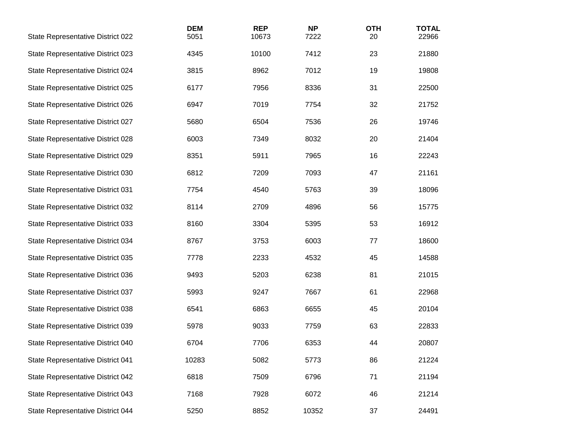| State Representative District 022 | <b>DEM</b><br>5051 | <b>REP</b><br>10673 | <b>NP</b><br>7222 | <b>OTH</b><br>20 | <b>TOTAL</b><br>22966 |
|-----------------------------------|--------------------|---------------------|-------------------|------------------|-----------------------|
| State Representative District 023 | 4345               | 10100               | 7412              | 23               | 21880                 |
| State Representative District 024 | 3815               | 8962                | 7012              | 19               | 19808                 |
| State Representative District 025 | 6177               | 7956                | 8336              | 31               | 22500                 |
| State Representative District 026 | 6947               | 7019                | 7754              | 32               | 21752                 |
| State Representative District 027 | 5680               | 6504                | 7536              | 26               | 19746                 |
| State Representative District 028 | 6003               | 7349                | 8032              | 20               | 21404                 |
| State Representative District 029 | 8351               | 5911                | 7965              | 16               | 22243                 |
| State Representative District 030 | 6812               | 7209                | 7093              | 47               | 21161                 |
| State Representative District 031 | 7754               | 4540                | 5763              | 39               | 18096                 |
| State Representative District 032 | 8114               | 2709                | 4896              | 56               | 15775                 |
| State Representative District 033 | 8160               | 3304                | 5395              | 53               | 16912                 |
| State Representative District 034 | 8767               | 3753                | 6003              | 77               | 18600                 |
| State Representative District 035 | 7778               | 2233                | 4532              | 45               | 14588                 |
| State Representative District 036 | 9493               | 5203                | 6238              | 81               | 21015                 |
| State Representative District 037 | 5993               | 9247                | 7667              | 61               | 22968                 |
| State Representative District 038 | 6541               | 6863                | 6655              | 45               | 20104                 |
| State Representative District 039 | 5978               | 9033                | 7759              | 63               | 22833                 |
| State Representative District 040 | 6704               | 7706                | 6353              | 44               | 20807                 |
| State Representative District 041 | 10283              | 5082                | 5773              | 86               | 21224                 |
| State Representative District 042 | 6818               | 7509                | 6796              | 71               | 21194                 |
| State Representative District 043 | 7168               | 7928                | 6072              | 46               | 21214                 |
| State Representative District 044 | 5250               | 8852                | 10352             | 37               | 24491                 |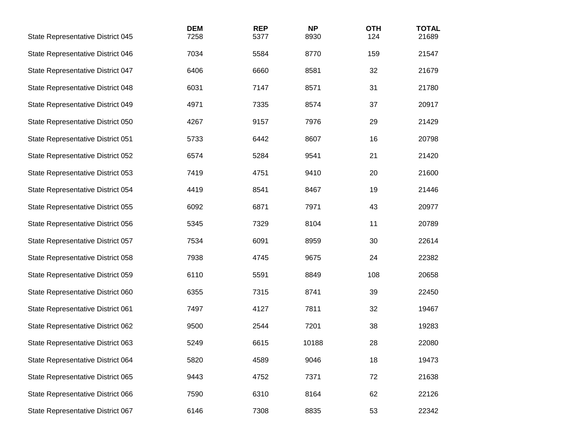| State Representative District 045 | <b>DEM</b><br>7258 | <b>REP</b><br>5377 | <b>NP</b><br>8930 | <b>OTH</b><br>124 | <b>TOTAL</b><br>21689 |
|-----------------------------------|--------------------|--------------------|-------------------|-------------------|-----------------------|
| State Representative District 046 | 7034               | 5584               | 8770              | 159               | 21547                 |
| State Representative District 047 | 6406               | 6660               | 8581              | 32                | 21679                 |
| State Representative District 048 | 6031               | 7147               | 8571              | 31                | 21780                 |
| State Representative District 049 | 4971               | 7335               | 8574              | 37                | 20917                 |
| State Representative District 050 | 4267               | 9157               | 7976              | 29                | 21429                 |
| State Representative District 051 | 5733               | 6442               | 8607              | 16                | 20798                 |
| State Representative District 052 | 6574               | 5284               | 9541              | 21                | 21420                 |
| State Representative District 053 | 7419               | 4751               | 9410              | 20                | 21600                 |
| State Representative District 054 | 4419               | 8541               | 8467              | 19                | 21446                 |
| State Representative District 055 | 6092               | 6871               | 7971              | 43                | 20977                 |
| State Representative District 056 | 5345               | 7329               | 8104              | 11                | 20789                 |
| State Representative District 057 | 7534               | 6091               | 8959              | 30                | 22614                 |
| State Representative District 058 | 7938               | 4745               | 9675              | 24                | 22382                 |
| State Representative District 059 | 6110               | 5591               | 8849              | 108               | 20658                 |
| State Representative District 060 | 6355               | 7315               | 8741              | 39                | 22450                 |
| State Representative District 061 | 7497               | 4127               | 7811              | 32                | 19467                 |
| State Representative District 062 | 9500               | 2544               | 7201              | 38                | 19283                 |
| State Representative District 063 | 5249               | 6615               | 10188             | 28                | 22080                 |
| State Representative District 064 | 5820               | 4589               | 9046              | 18                | 19473                 |
| State Representative District 065 | 9443               | 4752               | 7371              | 72                | 21638                 |
| State Representative District 066 | 7590               | 6310               | 8164              | 62                | 22126                 |
| State Representative District 067 | 6146               | 7308               | 8835              | 53                | 22342                 |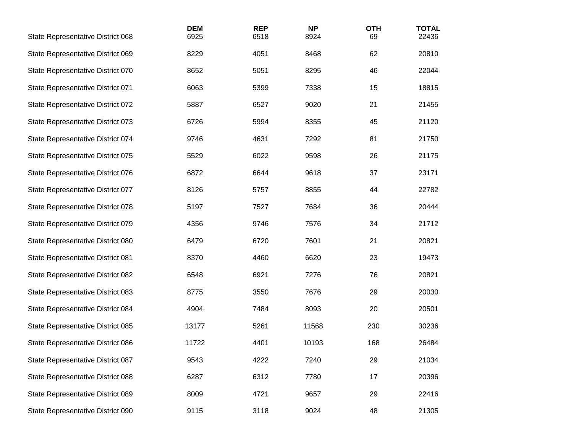| State Representative District 068 | <b>DEM</b><br>6925 | <b>REP</b><br>6518 | <b>NP</b><br>8924 | <b>OTH</b><br>69 | <b>TOTAL</b><br>22436 |
|-----------------------------------|--------------------|--------------------|-------------------|------------------|-----------------------|
| State Representative District 069 | 8229               | 4051               | 8468              | 62               | 20810                 |
| State Representative District 070 | 8652               | 5051               | 8295              | 46               | 22044                 |
| State Representative District 071 | 6063               | 5399               | 7338              | 15               | 18815                 |
| State Representative District 072 | 5887               | 6527               | 9020              | 21               | 21455                 |
| State Representative District 073 | 6726               | 5994               | 8355              | 45               | 21120                 |
| State Representative District 074 | 9746               | 4631               | 7292              | 81               | 21750                 |
| State Representative District 075 | 5529               | 6022               | 9598              | 26               | 21175                 |
| State Representative District 076 | 6872               | 6644               | 9618              | 37               | 23171                 |
| State Representative District 077 | 8126               | 5757               | 8855              | 44               | 22782                 |
| State Representative District 078 | 5197               | 7527               | 7684              | 36               | 20444                 |
| State Representative District 079 | 4356               | 9746               | 7576              | 34               | 21712                 |
| State Representative District 080 | 6479               | 6720               | 7601              | 21               | 20821                 |
| State Representative District 081 | 8370               | 4460               | 6620              | 23               | 19473                 |
| State Representative District 082 | 6548               | 6921               | 7276              | 76               | 20821                 |
| State Representative District 083 | 8775               | 3550               | 7676              | 29               | 20030                 |
| State Representative District 084 | 4904               | 7484               | 8093              | 20               | 20501                 |
| State Representative District 085 | 13177              | 5261               | 11568             | 230              | 30236                 |
| State Representative District 086 | 11722              | 4401               | 10193             | 168              | 26484                 |
| State Representative District 087 | 9543               | 4222               | 7240              | 29               | 21034                 |
| State Representative District 088 | 6287               | 6312               | 7780              | 17               | 20396                 |
| State Representative District 089 | 8009               | 4721               | 9657              | 29               | 22416                 |
| State Representative District 090 | 9115               | 3118               | 9024              | 48               | 21305                 |